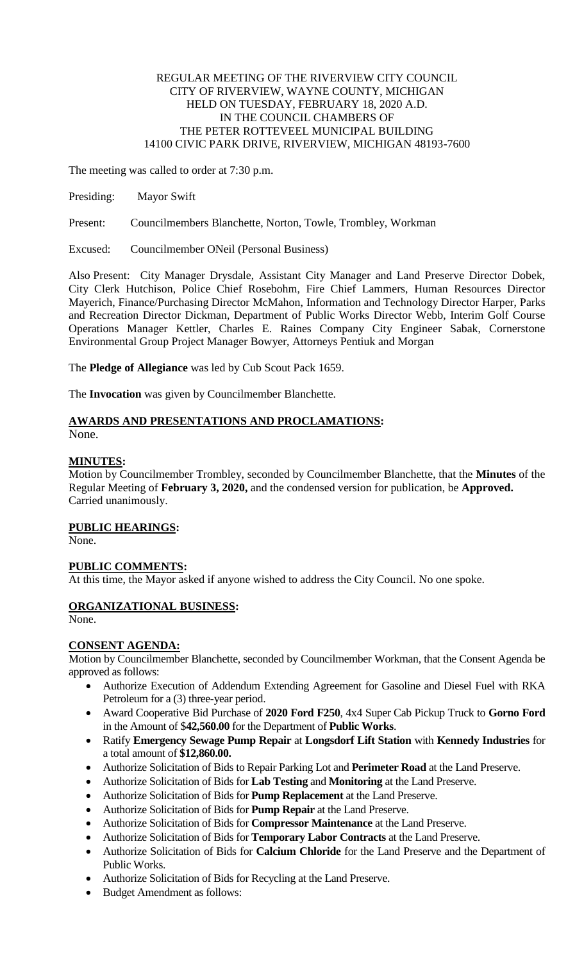### REGULAR MEETING OF THE RIVERVIEW CITY COUNCIL CITY OF RIVERVIEW, WAYNE COUNTY, MICHIGAN HELD ON TUESDAY, FEBRUARY 18, 2020 A.D. IN THE COUNCIL CHAMBERS OF THE PETER ROTTEVEEL MUNICIPAL BUILDING 14100 CIVIC PARK DRIVE, RIVERVIEW, MICHIGAN 48193-7600

The meeting was called to order at 7:30 p.m.

Presiding: Mayor Swift

Present: Councilmembers Blanchette, Norton, Towle, Trombley, Workman

Excused: Councilmember ONeil (Personal Business)

Also Present: City Manager Drysdale, Assistant City Manager and Land Preserve Director Dobek, City Clerk Hutchison, Police Chief Rosebohm, Fire Chief Lammers, Human Resources Director Mayerich, Finance/Purchasing Director McMahon, Information and Technology Director Harper, Parks and Recreation Director Dickman, Department of Public Works Director Webb, Interim Golf Course Operations Manager Kettler, Charles E. Raines Company City Engineer Sabak, Cornerstone Environmental Group Project Manager Bowyer, Attorneys Pentiuk and Morgan

The **Pledge of Allegiance** was led by Cub Scout Pack 1659.

The **Invocation** was given by Councilmember Blanchette.

# **AWARDS AND PRESENTATIONS AND PROCLAMATIONS:**

None.

# **MINUTES:**

Motion by Councilmember Trombley, seconded by Councilmember Blanchette, that the **Minutes** of the Regular Meeting of **February 3, 2020,** and the condensed version for publication, be **Approved.** Carried unanimously.

# **PUBLIC HEARINGS:**

None.

# **PUBLIC COMMENTS:**

At this time, the Mayor asked if anyone wished to address the City Council. No one spoke.

# **ORGANIZATIONAL BUSINESS:**

None.

#### **CONSENT AGENDA:**

Motion by Councilmember Blanchette, seconded by Councilmember Workman, that the Consent Agenda be approved as follows:

- Authorize Execution of Addendum Extending Agreement for Gasoline and Diesel Fuel with RKA Petroleum for a (3) three-year period.
- Award Cooperative Bid Purchase of **2020 Ford F250**, 4x4 Super Cab Pickup Truck to **Gorno Ford** in the Amount of \$**42,560.00** for the Department of **Public Works**.
- Ratify **Emergency Sewage Pump Repair** at **Longsdorf Lift Station** with **Kennedy Industries** for a total amount of **\$12,860.00.**
- Authorize Solicitation of Bids to Repair Parking Lot and **Perimeter Road** at the Land Preserve.
- Authorize Solicitation of Bids for **Lab Testing** and **Monitoring** at the Land Preserve.
- Authorize Solicitation of Bids for **Pump Replacement** at the Land Preserve.
- Authorize Solicitation of Bids for **Pump Repair** at the Land Preserve.
- Authorize Solicitation of Bids for **Compressor Maintenance** at the Land Preserve.
- Authorize Solicitation of Bids for **Temporary Labor Contracts** at the Land Preserve.
- Authorize Solicitation of Bids for **Calcium Chloride** for the Land Preserve and the Department of Public Works.
- Authorize Solicitation of Bids for Recycling at the Land Preserve.
- Budget Amendment as follows: